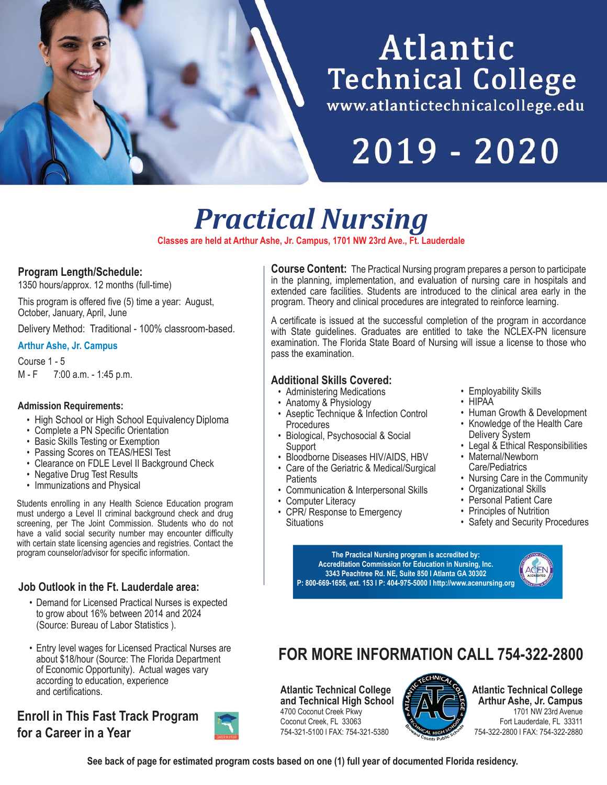# Atlantic **Technical College**

www.atlantictechnicalcollege.edu

2019 - 2020

*Practical Nursing*

**Classes are held at Arthur Ashe, Jr. Campus, 1701 NW 23rd Ave., Ft. Lauderdale**

## **Program Length/Schedule:**

1350 hours/approx. 12 months (full-time)

This program is offered five (5) time a year: August, October, January, April, June

Delivery Method: Traditional - 100% classroom-based.

#### **Arthur Ashe, Jr. Campus**

Course 1 - 5 M - F 7:00 a.m. - 1:45 p.m.

#### **Admission Requirements:**

- High School or High School Equivalency Diploma
- Complete a PN Specific Orientation
- Basic Skills Testing or Exemption
- Passing Scores on TEAS/HESI Test
- Clearance on FDLE Level II Background Check
- Negative Drug Test Results
- Immunizations and Physical

Students enrolling in any Health Science Education program must undergo a Level II criminal background check and drug screening, per The Joint Commission. Students who do not have a valid social security number may encounter difficulty with certain state licensing agencies and registries. Contact the program counselor/advisor for specific information.

## **Job Outlook in the Ft. Lauderdale area:**

- Demand for Licensed Practical Nurses is expected to grow about 16% between 2014 and 2024 (Source: Bureau of Labor Statistics ).
- Entry level wages for Licensed Practical Nurses are about \$18/hour (Source: The Florida Department of Economic Opportunity). Actual wages vary according to education, experience and certifications.

## **Enroll in This Fast Track Program for a Career in a Year**



**Course Content:** The Practical Nursing program prepares a person to participate in the planning, implementation, and evaluation of nursing care in hospitals and extended care facilities. Students are introduced to the clinical area early in the program. Theory and clinical procedures are integrated to reinforce learning.

A certificate is issued at the successful completion of the program in accordance with State guidelines. Graduates are entitled to take the NCLEX-PN licensure examination. The Florida State Board of Nursing will issue a license to those who pass the examination.

## **Additional Skills Covered:**

- Administering Medications
- Anatomy & Physiology
- Aseptic Technique & Infection Control Procedures
- Biological, Psychosocial & Social **Support**
- Bloodborne Diseases HIV/AIDS, HBV
- Care of the Geriatric & Medical/Surgical **Patients**
- Communication & Interpersonal Skills
- Computer Literacy
	- CPR/ Response to Emergency **Situations**
- Employability Skills
- HIPAA
- Human Growth & Development
- Knowledge of the Health Care Delivery System
- Legal & Ethical Responsibilities
- Maternal/Newborn Care/Pediatrics
- Nursing Care in the Community
- Organizational Skills
- Personal Patient Care
- Principles of Nutrition
- Safety and Security Procedures

**The Practical Nursing program is accredited by: Accreditation Commission for Education in Nursing, Inc. 3343 Peachtree Rd. NE, Suite 850 l Atlanta GA 30302 P: 800-669-1656, ext. 153 l P: 404-975-5000 l http://www.acenursing.org**



## **FOR MORE INFORMATION CALL 754-322-2800**

**Atlantic Technical College and Technical High School** 4700 Coconut Creek Pkwy Coconut Creek, FL 33063 754-321-5100 l FAX: 754-321-5380



**Atlantic Technical College Arthur Ashe, Jr. Campus** 1701 NW 23rd Avenue Fort Lauderdale, FL 33311 754-322-2800 l FAX: 754-322-2880

**See back of page for estimated program costs based on one (1) full year of documented Florida residency.**